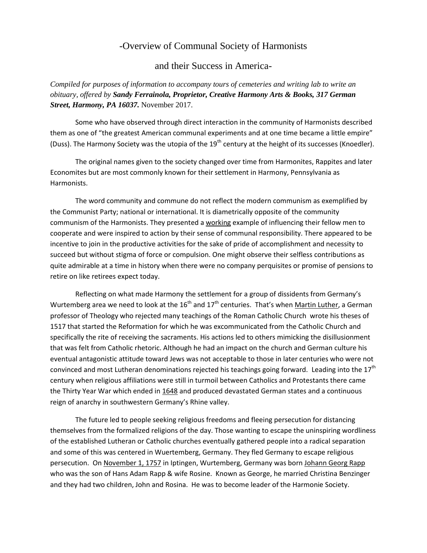## -Overview of Communal Society of Harmonists

and their Success in America-

*Compiled for purposes of information to accompany tours of cemeteries and writing lab to write an obituary, offered by Sandy Ferrainola, Proprietor, Creative Harmony Arts & Books, 317 German Street, Harmony, PA 16037.* November 2017.

 Some who have observed through direct interaction in the community of Harmonists described them as one of "the greatest American communal experiments and at one time became a little empire" (Duss). The Harmony Society was the utopia of the  $19<sup>th</sup>$  century at the height of its successes (Knoedler).

The original names given to the society changed over time from Harmonites, Rappites and later Economites but are most commonly known for their settlement in Harmony, Pennsylvania as Harmonists.

The word community and commune do not reflect the modern communism as exemplified by the Communist Party; national or international. It is diametrically opposite of the community communism of the Harmonists. They presented a working example of influencing their fellow men to cooperate and were inspired to action by their sense of communal responsibility. There appeared to be incentive to join in the productive activities for the sake of pride of accomplishment and necessity to succeed but without stigma of force or compulsion. One might observe their selfless contributions as quite admirable at a time in history when there were no company perquisites or promise of pensions to retire on like retirees expect today.

Reflecting on what made Harmony the settlement for a group of dissidents from Germany's Wurtemberg area we need to look at the  $16<sup>th</sup>$  and  $17<sup>th</sup>$  centuries. That's when Martin Luther, a German professor of Theology who rejected many teachings of the Roman Catholic Church wrote his theses of 1517 that started the Reformation for which he was excommunicated from the Catholic Church and specifically the rite of receiving the sacraments. His actions led to others mimicking the disillusionment that was felt from Catholic rhetoric. Although he had an impact on the church and German culture his eventual antagonistic attitude toward Jews was not acceptable to those in later centuries who were not convinced and most Lutheran denominations rejected his teachings going forward. Leading into the  $17<sup>th</sup>$ century when religious affiliations were still in turmoil between Catholics and Protestants there came the Thirty Year War which ended in 1648 and produced devastated German states and a continuous reign of anarchy in southwestern Germany's Rhine valley.

The future led to people seeking religious freedoms and fleeing persecution for distancing themselves from the formalized religions of the day. Those wanting to escape the uninspiring wordliness of the established Lutheran or Catholic churches eventually gathered people into a radical separation and some of this was centered in Wuertemberg, Germany. They fled Germany to escape religious persecution. On November 1, 1757 in Iptingen, Wurtemberg, Germany was born Johann Georg Rapp who was the son of Hans Adam Rapp & wife Rosine. Known as George, he married Christina Benzinger and they had two children, John and Rosina. He was to become leader of the Harmonie Society.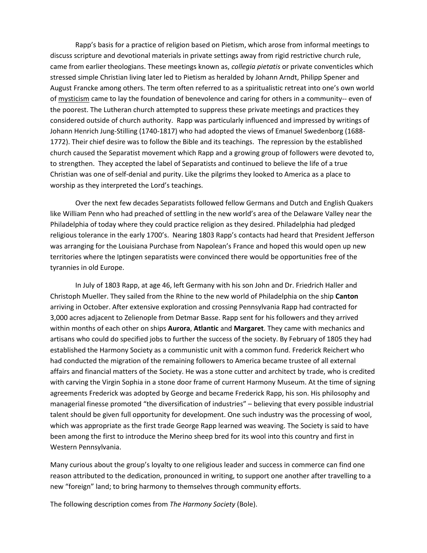Rapp's basis for a practice of religion based on Pietism, which arose from informal meetings to discuss scripture and devotional materials in private settings away from rigid restrictive church rule, came from earlier theologians. These meetings known as, *collegia pietatis* or private conventicles which stressed simple Christian living later led to Pietism as heralded by Johann Arndt, Philipp Spener and August Francke among others. The term often referred to as a spiritualistic retreat into one's own world of mysticism came to lay the foundation of benevolence and caring for others in a community-- even of the poorest. The Lutheran church attempted to suppress these private meetings and practices they considered outside of church authority. Rapp was particularly influenced and impressed by writings of Johann Henrich Jung-Stilling (1740-1817) who had adopted the views of Emanuel Swedenborg (1688- 1772). Their chief desire was to follow the Bible and its teachings. The repression by the established church caused the Separatist movement which Rapp and a growing group of followers were devoted to, to strengthen. They accepted the label of Separatists and continued to believe the life of a true Christian was one of self-denial and purity. Like the pilgrims they looked to America as a place to worship as they interpreted the Lord's teachings.

Over the next few decades Separatists followed fellow Germans and Dutch and English Quakers like William Penn who had preached of settling in the new world's area of the Delaware Valley near the Philadelphia of today where they could practice religion as they desired. Philadelphia had pledged religious tolerance in the early 1700's. Nearing 1803 Rapp's contacts had heard that President Jefferson was arranging for the Louisiana Purchase from Napolean's France and hoped this would open up new territories where the Iptingen separatists were convinced there would be opportunities free of the tyrannies in old Europe.

In July of 1803 Rapp, at age 46, left Germany with his son John and Dr. Friedrich Haller and Christoph Mueller. They sailed from the Rhine to the new world of Philadelphia on the ship **Canton** arriving in October. After extensive exploration and crossing Pennsylvania Rapp had contracted for 3,000 acres adjacent to Zelienople from Detmar Basse. Rapp sent for his followers and they arrived within months of each other on ships **Aurora**, **Atlantic** and **Margaret**. They came with mechanics and artisans who could do specified jobs to further the success of the society. By February of 1805 they had established the Harmony Society as a communistic unit with a common fund. Frederick Reichert who had conducted the migration of the remaining followers to America became trustee of all external affairs and financial matters of the Society. He was a stone cutter and architect by trade, who is credited with carving the Virgin Sophia in a stone door frame of current Harmony Museum. At the time of signing agreements Frederick was adopted by George and became Frederick Rapp, his son. His philosophy and managerial finesse promoted "the diversification of industries" – believing that every possible industrial talent should be given full opportunity for development. One such industry was the processing of wool, which was appropriate as the first trade George Rapp learned was weaving. The Society is said to have been among the first to introduce the Merino sheep bred for its wool into this country and first in Western Pennsylvania.

Many curious about the group's loyalty to one religious leader and success in commerce can find one reason attributed to the dedication, pronounced in writing, to support one another after travelling to a new "foreign" land; to bring harmony to themselves through community efforts.

The following description comes from *The Harmony Society* (Bole).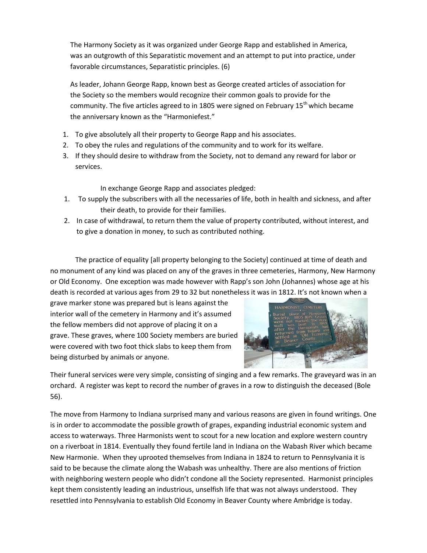The Harmony Society as it was organized under George Rapp and established in America, was an outgrowth of this Separatistic movement and an attempt to put into practice, under favorable circumstances, Separatistic principles. (6)

As leader, Johann George Rapp, known best as George created articles of association for the Society so the members would recognize their common goals to provide for the community. The five articles agreed to in 1805 were signed on February  $15^{th}$  which became the anniversary known as the "Harmoniefest."

- 1. To give absolutely all their property to George Rapp and his associates.
- 2. To obey the rules and regulations of the community and to work for its welfare.
- 3. If they should desire to withdraw from the Society, not to demand any reward for labor or services.

In exchange George Rapp and associates pledged:

- 1. To supply the subscribers with all the necessaries of life, both in health and sickness, and after their death, to provide for their families.
- 2. In case of withdrawal, to return them the value of property contributed, without interest, and to give a donation in money, to such as contributed nothing.

The practice of equality [all property belonging to the Society] continued at time of death and no monument of any kind was placed on any of the graves in three cemeteries, Harmony, New Harmony or Old Economy. One exception was made however with Rapp's son John (Johannes) whose age at his death is recorded at various ages from 29 to 32 but nonetheless it was in 1812. It's not known when a

grave marker stone was prepared but is leans against the interior wall of the cemetery in Harmony and it's assumed the fellow members did not approve of placing it on a grave. These graves, where 100 Society members are buried were covered with two foot thick slabs to keep them from being disturbed by animals or anyone.



Their funeral services were very simple, consisting of singing and a few remarks. The graveyard was in an orchard. A register was kept to record the number of graves in a row to distinguish the deceased (Bole 56).

The move from Harmony to Indiana surprised many and various reasons are given in found writings. One is in order to accommodate the possible growth of grapes, expanding industrial economic system and access to waterways. Three Harmonists went to scout for a new location and explore western country on a riverboat in 1814. Eventually they found fertile land in Indiana on the Wabash River which became New Harmonie. When they uprooted themselves from Indiana in 1824 to return to Pennsylvania it is said to be because the climate along the Wabash was unhealthy. There are also mentions of friction with neighboring western people who didn't condone all the Society represented. Harmonist principles kept them consistently leading an industrious, unselfish life that was not always understood. They resettled into Pennsylvania to establish Old Economy in Beaver County where Ambridge is today.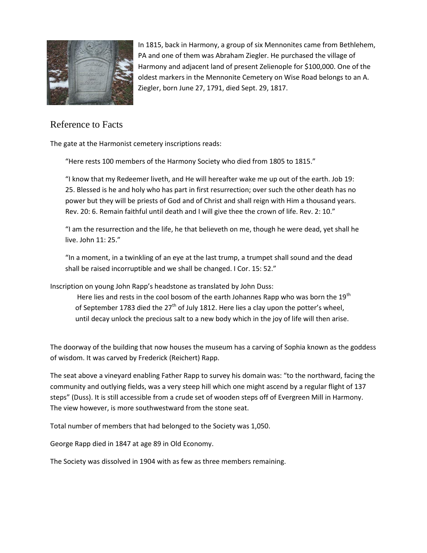

In 1815, back in Harmony, a group of six Mennonites came from Bethlehem, PA and one of them was Abraham Ziegler. He purchased the village of Harmony and adjacent land of present Zelienople for \$100,000. One of the oldest markers in the Mennonite Cemetery on Wise Road belongs to an A. Ziegler, born June 27, 1791, died Sept. 29, 1817.

## Reference to Facts

The gate at the Harmonist cemetery inscriptions reads:

"Here rests 100 members of the Harmony Society who died from 1805 to 1815."

"I know that my Redeemer liveth, and He will hereafter wake me up out of the earth. Job 19: 25. Blessed is he and holy who has part in first resurrection; over such the other death has no power but they will be priests of God and of Christ and shall reign with Him a thousand years. Rev. 20: 6. Remain faithful until death and I will give thee the crown of life. Rev. 2: 10."

"I am the resurrection and the life, he that believeth on me, though he were dead, yet shall he live. John 11: 25."

"In a moment, in a twinkling of an eye at the last trump, a trumpet shall sound and the dead shall be raised incorruptible and we shall be changed. I Cor. 15: 52."

Inscription on young John Rapp's headstone as translated by John Duss:

Here lies and rests in the cool bosom of the earth Johannes Rapp who was born the  $19<sup>th</sup>$ of September 1783 died the  $27<sup>th</sup>$  of July 1812. Here lies a clay upon the potter's wheel, until decay unlock the precious salt to a new body which in the joy of life will then arise.

The doorway of the building that now houses the museum has a carving of Sophia known as the goddess of wisdom. It was carved by Frederick (Reichert) Rapp.

The seat above a vineyard enabling Father Rapp to survey his domain was: "to the northward, facing the community and outlying fields, was a very steep hill which one might ascend by a regular flight of 137 steps" (Duss). It is still accessible from a crude set of wooden steps off of Evergreen Mill in Harmony. The view however, is more southwestward from the stone seat.

Total number of members that had belonged to the Society was 1,050.

George Rapp died in 1847 at age 89 in Old Economy.

The Society was dissolved in 1904 with as few as three members remaining.